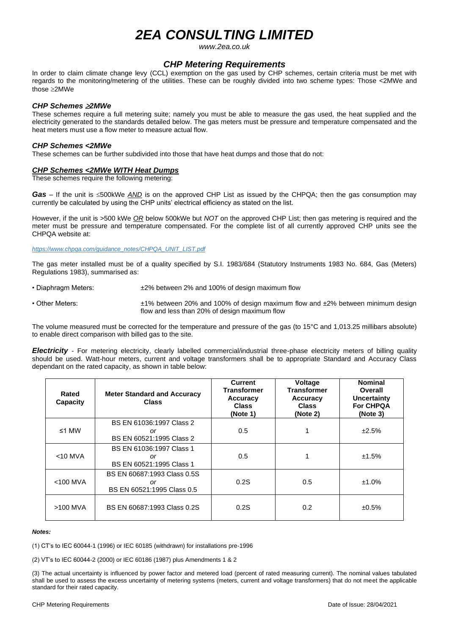# *2EA CONSULTING LIMITED*

*www.2ea.co.uk*

# *CHP Metering Requirements*

In order to claim climate change levy (CCL) exemption on the gas used by CHP schemes, certain criteria must be met with regards to the monitoring/metering of the utilities. These can be roughly divided into two scheme types: Those <2MWe and those 2MWe

## *CHP Schemes 2MWe*

These schemes require a full metering suite; namely you must be able to measure the gas used, the heat supplied and the electricity generated to the standards detailed below. The gas meters must be pressure and temperature compensated and the heat meters must use a flow meter to measure actual flow.

## *CHP Schemes <2MWe*

These schemes can be further subdivided into those that have heat dumps and those that do not:

## *CHP Schemes <2MWe WITH Heat Dumps*

These schemes require the following metering:

*Gas* – If the unit is ≤500kWe *AND* is on the approved CHP List as issued by the CHPQA; then the gas consumption may currently be calculated by using the CHP units' electrical efficiency as stated on the list.

However, if the unit is >500 kWe *OR* below 500kWe but *NOT* on the approved CHP List; then gas metering is required and the meter must be pressure and temperature compensated. For the complete list of all currently approved CHP units see the CHPQA website at:

### *[https://www.chpqa.com/guidance\\_notes/CHPQA\\_UNIT\\_LIST.pdf](https://www.chpqa.com/guidance_notes/CHPQA_UNIT_LIST.pdf)*

The gas meter installed must be of a quality specified by S.I. 1983/684 (Statutory Instruments 1983 No. 684, Gas (Meters) Regulations 1983), summarised as:

- Diaphragm Meters:  $\pm 2\%$  between 2% and 100% of design maximum flow
- Other Meters:  $±1\%$  between 20% and 100% of design maximum flow and ±2% between minimum design flow and less than 20% of design maximum flow

The volume measured must be corrected for the temperature and pressure of the gas (to 15°C and 1,013.25 millibars absolute) to enable direct comparison with billed gas to the site.

*Electricity* - For metering electricity, clearly labelled commercial/industrial three-phase electricity meters of billing quality should be used. Watt-hour meters, current and voltage transformers shall be to appropriate Standard and Accuracy Class dependant on the rated capacity, as shown in table below:

| Rated<br>Capacity | <b>Meter Standard and Accuracy</b><br><b>Class</b>              | Current<br><b>Transformer</b><br>Accuracy<br><b>Class</b><br>(Note 1) | Voltage<br><b>Transformer</b><br>Accuracy<br><b>Class</b><br>(Note 2) | <b>Nominal</b><br>Overall<br><b>Uncertainty</b><br><b>For CHPQA</b><br>(Note 3) |
|-------------------|-----------------------------------------------------------------|-----------------------------------------------------------------------|-----------------------------------------------------------------------|---------------------------------------------------------------------------------|
| ≤1 MW             | BS EN 61036:1997 Class 2<br>or<br>BS EN 60521:1995 Class 2      | 0.5                                                                   |                                                                       | ±2.5%                                                                           |
| $<$ 10 MVA        | BS EN 61036:1997 Class 1<br>or<br>BS EN 60521:1995 Class 1      | 0.5                                                                   |                                                                       | ±1.5%                                                                           |
| $<$ 100 MVA       | BS EN 60687:1993 Class 0.5S<br>or<br>BS EN 60521:1995 Class 0.5 | 0.2S                                                                  | 0.5                                                                   | ±1.0%                                                                           |
| $>100$ MVA        | BS EN 60687:1993 Class 0.2S                                     | 0.2S                                                                  | 0.2                                                                   | ±0.5%                                                                           |

#### *Notes:*

(1) CT's to IEC 60044-1 (1996) or IEC 60185 (withdrawn) for installations pre-1996

(2) VT's to IEC 60044-2 (2000) or IEC 60186 (1987) plus Amendments 1 & 2

(3) The actual uncertainty is influenced by power factor and metered load (percent of rated measuring current). The nominal values tabulated shall be used to assess the excess uncertainty of metering systems (meters, current and voltage transformers) that do not meet the applicable standard for their rated capacity.